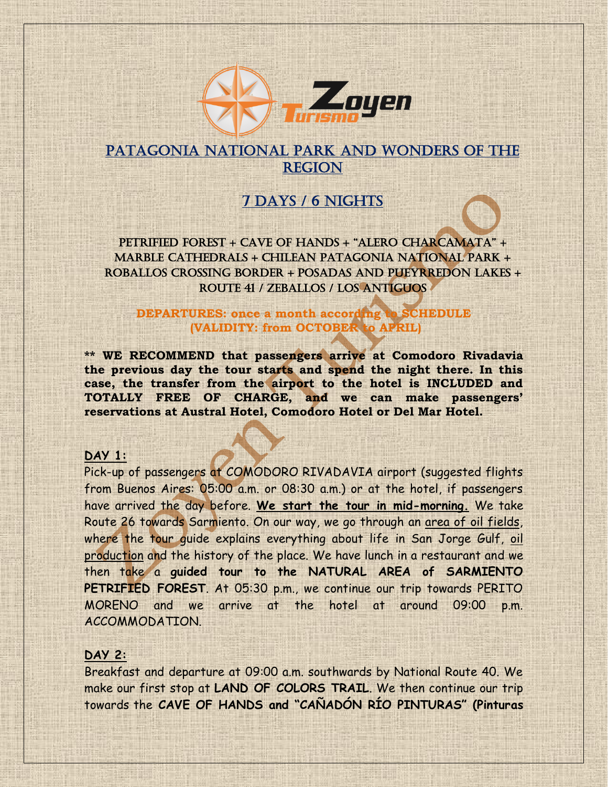

# PATAGONIA NATIONAL PARK AND WONDERS OF THE REGION

# 7 DAYS / 6 NIGHTS

PETRIFIED FOREST + CAVE OF HANDS + "ALERO CHARCAMATA" + MARBLE CATHEDRALS + CHILEAN PATAGONIA NATIONAL PARK + ROBALLOS CROSSING BORDER + POSADAS AND PUEYRREDON LAKES + ROUTE 41 / ZEBALLOS / LOS ANTIGUOS

## **DEPARTURES: once a month according to SCHEDULE (VALIDITY: from OCTOBER to APRIL)**

**\*\* WE RECOMMEND that passengers arrive at Comodoro Rivadavia the previous day the tour starts and spend the night there. In this case, the transfer from the airport to the hotel is INCLUDED and TOTALLY FREE OF CHARGE, and we can make passengers' reservations at Austral Hotel, Comodoro Hotel or Del Mar Hotel.**

#### **DAY 1:**

Pick-up of passengers at COMODORO RIVADAVIA airport (suggested flights from Buenos Aires: 05:00 a.m. or 08:30 a.m.) or at the hotel, if passengers have arrived the day before. **We start the tour in mid-morning.** We take Route 26 towards Sarmiento. On our way, we go through an area of oil fields, where the tour quide explains everything about life in San Jorge Gulf, oil production and the history of the place. We have lunch in a restaurant and we then take a **guided tour to the NATURAL AREA of SARMIENTO**  PETRIFIED FOREST. At 05:30 p.m., we continue our trip towards PERITO MORENO and we arrive at the hotel at around 09:00 p.m. ACCOMMODATION.

## **DAY 2:**

Breakfast and departure at 09:00 a.m. southwards by National Route 40. We make our first stop at **LAND OF COLORS TRAIL**. We then continue our trip towards the **CAVE OF HANDS and "CAÑADÓN RÍO PINTURAS" (Pinturas**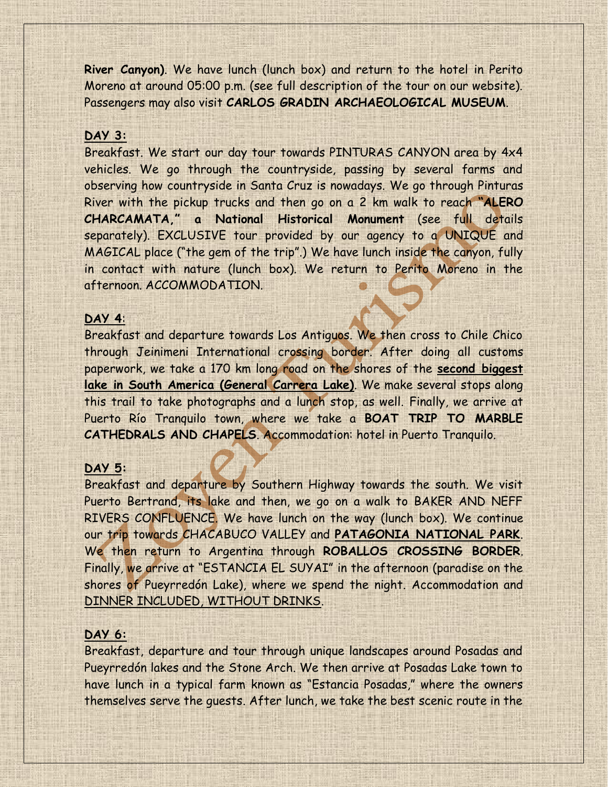**River Canyon)**. We have lunch (lunch box) and return to the hotel in Perito Moreno at around 05:00 p.m. (see full description of the tour on our website). Passengers may also visit **CARLOS GRADIN ARCHAEOLOGICAL MUSEUM**.

## **DAY 3:**

Breakfast. We start our day tour towards PINTURAS CANYON area by 4x4 vehicles. We go through the countryside, passing by several farms and observing how countryside in Santa Cruz is nowadays. We go through Pinturas River with the pickup trucks and then go on a 2 km walk to reach **"ALERO CHARCAMATA," a National Historical Monument** (see full details separately). EXCLUSIVE tour provided by our agency to a UNIQUE and MAGICAL place ("the gem of the trip".) We have lunch inside the canyon, fully in contact with nature (lunch box). We return to Perito Moreno in the afternoon. ACCOMMODATION.

### **DAY 4**:

Breakfast and departure towards Los Antiguos. We then cross to Chile Chico through Jeinimeni International crossing border. After doing all customs paperwork, we take a 170 km long road on the shores of the **second biggest lake in South America (General Carrera Lake)**. We make several stops along this trail to take photographs and a lunch stop, as well. Finally, we arrive at Puerto Río Tranquilo town, where we take a **BOAT TRIP TO MARBLE CATHEDRALS AND CHAPELS**. Accommodation: hotel in Puerto Tranquilo.

#### **DAY 5:**

Breakfast and departure by Southern Highway towards the south. We visit Puerto Bertrand, its lake and then, we go on a walk to BAKER AND NEFF RIVERS CONFLUENCE. We have lunch on the way (lunch box). We continue our trip towards CHACABUCO VALLEY and **PATAGONIA NATIONAL PARK**. We then return to Argentina through **ROBALLOS CROSSING BORDER**. Finally, we arrive at "ESTANCIA EL SUYAI" in the afternoon (paradise on the shores of Pueyrredón Lake), where we spend the night. Accommodation and DINNER INCLUDED, WITHOUT DRINKS.

## **DAY 6:**

Breakfast, departure and tour through unique landscapes around Posadas and Pueyrredón lakes and the Stone Arch. We then arrive at Posadas Lake town to have lunch in a typical farm known as "Estancia Posadas," where the owners themselves serve the guests. After lunch, we take the best scenic route in the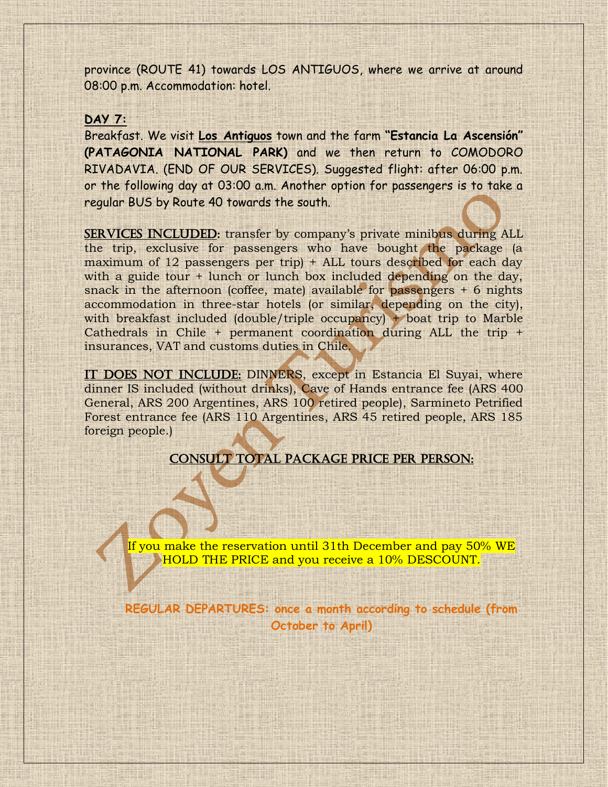province (ROUTE 41) towards LOS ANTIGUOS, where we arrive at around 08:00 p.m. Accommodation: hotel.

#### **DAY 7:**

Breakfast. We visit **Los Antiguos** town and the farm **"Estancia La Ascensión" (PATAGONIA NATIONAL PARK)** and we then return to COMODORO RIVADAVIA. (END OF OUR SERVICES). Suggested flight: after 06:00 p.m. or the following day at 03:00 a.m. Another option for passengers is to take a regular BUS by Route 40 towards the south.

SERVICES INCLUDED: transfer by company's private minibus during ALL the trip, exclusive for passengers who have bought the package (a maximum of 12 passengers per trip) + ALL tours described for each day with a guide tour + lunch or lunch box included depending on the day, snack in the afternoon (coffee, mate) available for passengers + 6 nights accommodation in three-star hotels (or similar, depending on the city), with breakfast included (double/triple occupancy) + boat trip to Marble Cathedrals in Chile + permanent coordination during ALL the trip + insurances, VAT and customs duties in Chile.

IT DOES NOT INCLUDE: DINNERS, except in Estancia El Suyai, where dinner IS included (without drinks), Cave of Hands entrance fee (ARS 400 General, ARS 200 Argentines, ARS 100 retired people), Sarmineto Petrified Forest entrance fee (ARS 110 Argentines, ARS 45 retired people, ARS 185 foreign people.)

#### CONSULT TOTAL PACKAGE PRICE PER PERSON:

If you make the reservation until 31th December and pay 50% WE HOLD THE PRICE and you receive a 10% DESCOUNT.

**REGULAR DEPARTURES: once a month according to schedule (from October to April)**